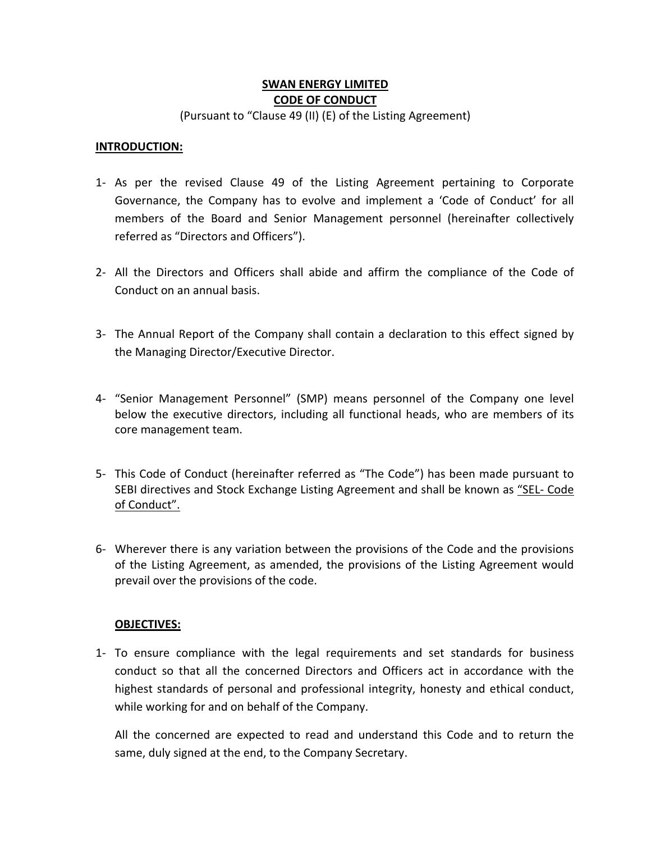# **SWAN ENERGY LIMITED CODE OF CONDUCT**

(Pursuant to "Clause 49 (II) (E) of the Listing Agreement)

#### **INTRODUCTION:**

- 1‐ As per the revised Clause 49 of the Listing Agreement pertaining to Corporate Governance, the Company has to evolve and implement a 'Code of Conduct' for all members of the Board and Senior Management personnel (hereinafter collectively referred as "Directors and Officers").
- 2‐ All the Directors and Officers shall abide and affirm the compliance of the Code of Conduct on an annual basis.
- 3‐ The Annual Report of the Company shall contain a declaration to this effect signed by the Managing Director/Executive Director.
- 4‐ "Senior Management Personnel" (SMP) means personnel of the Company one level below the executive directors, including all functional heads, who are members of its core management team.
- 5‐ This Code of Conduct (hereinafter referred as "The Code") has been made pursuant to SEBI directives and Stock Exchange Listing Agreement and shall be known as "SEL‐ Code of Conduct".
- 6‐ Wherever there is any variation between the provisions of the Code and the provisions of the Listing Agreement, as amended, the provisions of the Listing Agreement would prevail over the provisions of the code.

#### **OBJECTIVES:**

1‐ To ensure compliance with the legal requirements and set standards for business conduct so that all the concerned Directors and Officers act in accordance with the highest standards of personal and professional integrity, honesty and ethical conduct, while working for and on behalf of the Company.

All the concerned are expected to read and understand this Code and to return the same, duly signed at the end, to the Company Secretary.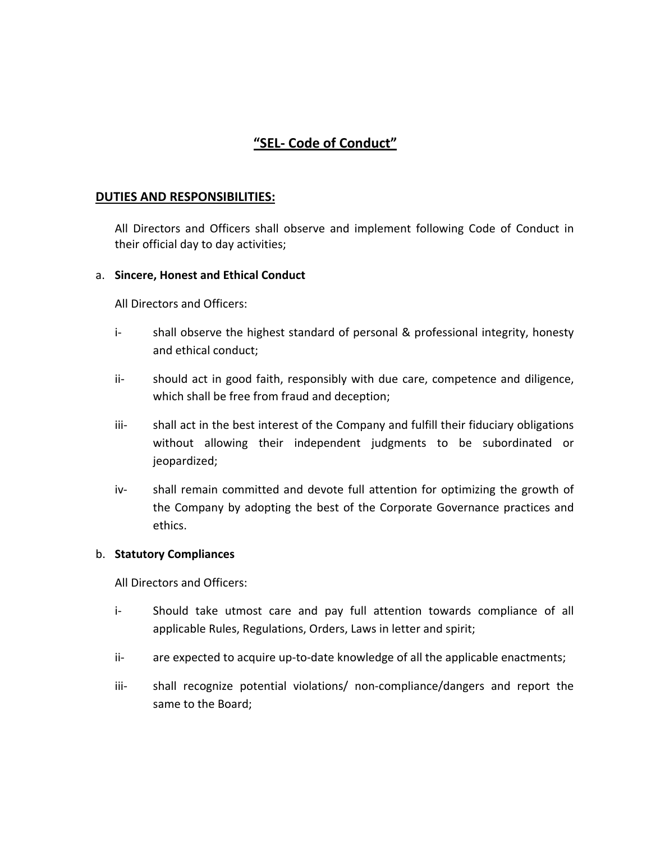# **"SEL‐ Code of Conduct"**

#### **DUTIES AND RESPONSIBILITIES:**

All Directors and Officers shall observe and implement following Code of Conduct in their official day to day activities;

#### a. **Sincere, Honest and Ethical Conduct**

All Directors and Officers:

- i‐ shall observe the highest standard of personal & professional integrity, honesty and ethical conduct;
- ii- should act in good faith, responsibly with due care, competence and diligence, which shall be free from fraud and deception;
- iii- shall act in the best interest of the Company and fulfill their fiduciary obligations without allowing their independent judgments to be subordinated or jeopardized;
- iv‐ shall remain committed and devote full attention for optimizing the growth of the Company by adopting the best of the Corporate Governance practices and ethics.

#### b. **Statutory Compliances**

All Directors and Officers:

- i-<br>
Should take utmost care and pay full attention towards compliance of all applicable Rules, Regulations, Orders, Laws in letter and spirit;
- ii- are expected to acquire up-to-date knowledge of all the applicable enactments;
- iii- shall recognize potential violations/ non-compliance/dangers and report the same to the Board;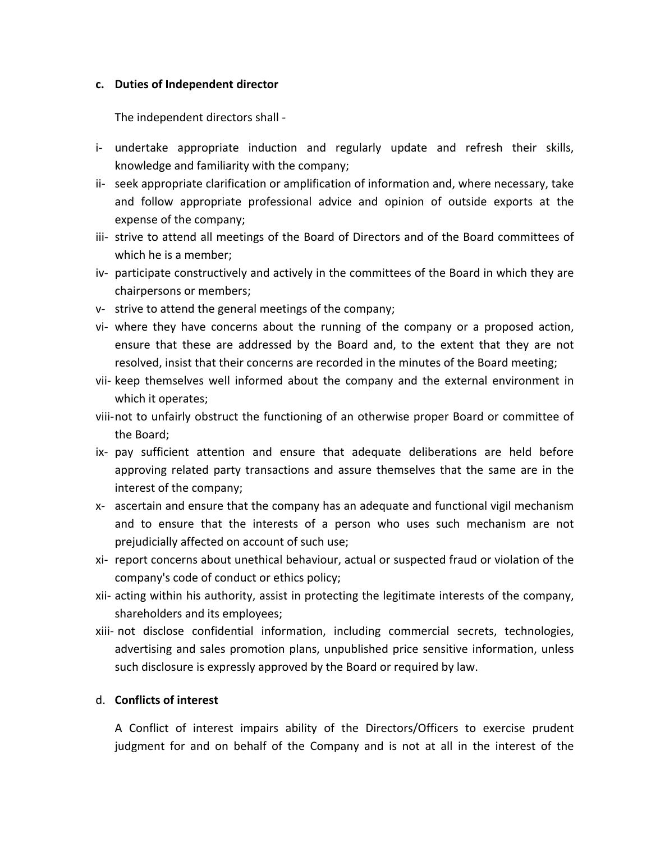#### **c. Duties of Independent director**

The independent directors shall ‐

- i‐ undertake appropriate induction and regularly update and refresh their skills, knowledge and familiarity with the company;
- ii- seek appropriate clarification or amplification of information and, where necessary, take and follow appropriate professional advice and opinion of outside exports at the expense of the company;
- iii‐ strive to attend all meetings of the Board of Directors and of the Board committees of which he is a member;
- iv‐ participate constructively and actively in the committees of the Board in which they are chairpersons or members;
- v‐ strive to attend the general meetings of the company;
- vi- where they have concerns about the running of the company or a proposed action, ensure that these are addressed by the Board and, to the extent that they are not resolved, insist that their concerns are recorded in the minutes of the Board meeting;
- vii- keep themselves well informed about the company and the external environment in which it operates;
- viii‐not to unfairly obstruct the functioning of an otherwise proper Board or committee of the Board;
- ix‐ pay sufficient attention and ensure that adequate deliberations are held before approving related party transactions and assure themselves that the same are in the interest of the company;
- x‐ ascertain and ensure that the company has an adequate and functional vigil mechanism and to ensure that the interests of a person who uses such mechanism are not prejudicially affected on account of such use;
- xi‐ report concerns about unethical behaviour, actual or suspected fraud or violation of the company's code of conduct or ethics policy;
- xii‐ acting within his authority, assist in protecting the legitimate interests of the company, shareholders and its employees;
- xiii‐ not disclose confidential information, including commercial secrets, technologies, advertising and sales promotion plans, unpublished price sensitive information, unless such disclosure is expressly approved by the Board or required by law.

# d. **Conflicts of interest**

A Conflict of interest impairs ability of the Directors/Officers to exercise prudent judgment for and on behalf of the Company and is not at all in the interest of the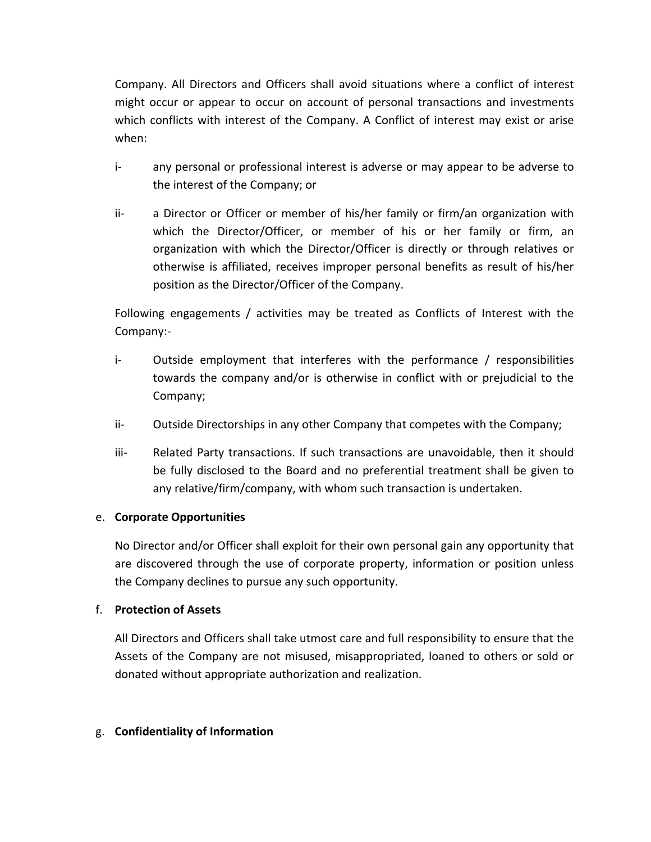Company. All Directors and Officers shall avoid situations where a conflict of interest might occur or appear to occur on account of personal transactions and investments which conflicts with interest of the Company. A Conflict of interest may exist or arise when:

- i‐ any personal or professional interest is adverse or may appear to be adverse to the interest of the Company; or
- ii- a Director or Officer or member of his/her family or firm/an organization with which the Director/Officer, or member of his or her family or firm, an organization with which the Director/Officer is directly or through relatives or otherwise is affiliated, receives improper personal benefits as result of his/her position as the Director/Officer of the Company.

Following engagements / activities may be treated as Conflicts of Interest with the Company:‐

- i- Outside employment that interferes with the performance / responsibilities towards the company and/or is otherwise in conflict with or prejudicial to the Company;
- ii- Outside Directorships in any other Company that competes with the Company;
- iii- Related Party transactions. If such transactions are unavoidable, then it should be fully disclosed to the Board and no preferential treatment shall be given to any relative/firm/company, with whom such transaction is undertaken.

# e. **Corporate Opportunities**

No Director and/or Officer shall exploit for their own personal gain any opportunity that are discovered through the use of corporate property, information or position unless the Company declines to pursue any such opportunity.

# f. **Protection of Assets**

All Directors and Officers shall take utmost care and full responsibility to ensure that the Assets of the Company are not misused, misappropriated, loaned to others or sold or donated without appropriate authorization and realization.

# g. **Confidentiality of Information**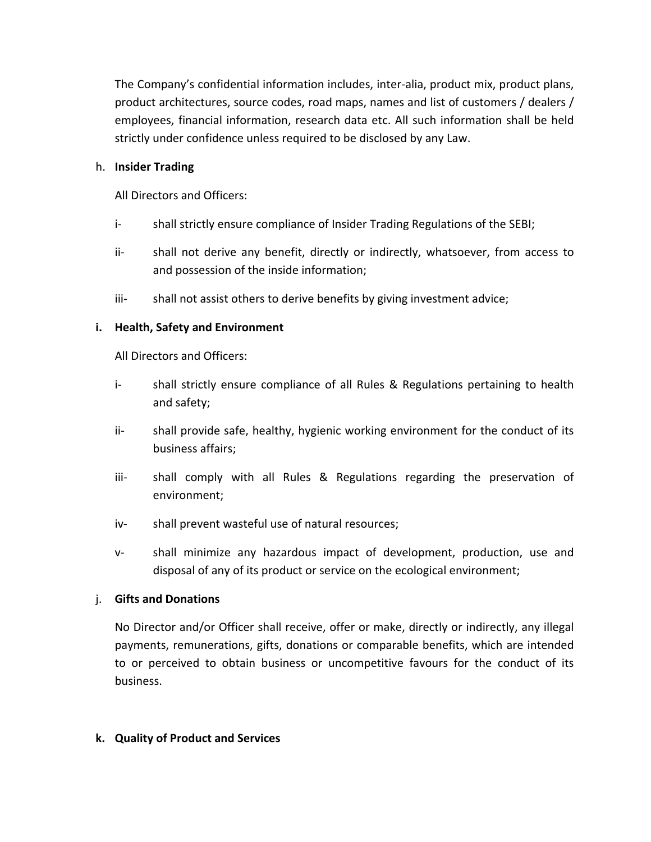The Company's confidential information includes, inter‐alia, product mix, product plans, product architectures, source codes, road maps, names and list of customers / dealers / employees, financial information, research data etc. All such information shall be held strictly under confidence unless required to be disclosed by any Law.

#### h. **Insider Trading**

All Directors and Officers:

- i‐ shall strictly ensure compliance of Insider Trading Regulations of the SEBI;
- ii-<br>shall not derive any benefit, directly or indirectly, whatsoever, from access to and possession of the inside information;
- iii- shall not assist others to derive benefits by giving investment advice;

# **i. Health, Safety and Environment**

All Directors and Officers:

- i‐ shall strictly ensure compliance of all Rules & Regulations pertaining to health and safety;
- ii- shall provide safe, healthy, hygienic working environment for the conduct of its business affairs;
- iii‐ shall comply with all Rules & Regulations regarding the preservation of environment;
- iv- shall prevent wasteful use of natural resources;
- v‐ shall minimize any hazardous impact of development, production, use and disposal of any of its product or service on the ecological environment;

# j. **Gifts and Donations**

No Director and/or Officer shall receive, offer or make, directly or indirectly, any illegal payments, remunerations, gifts, donations or comparable benefits, which are intended to or perceived to obtain business or uncompetitive favours for the conduct of its business.

#### **k. Quality of Product and Services**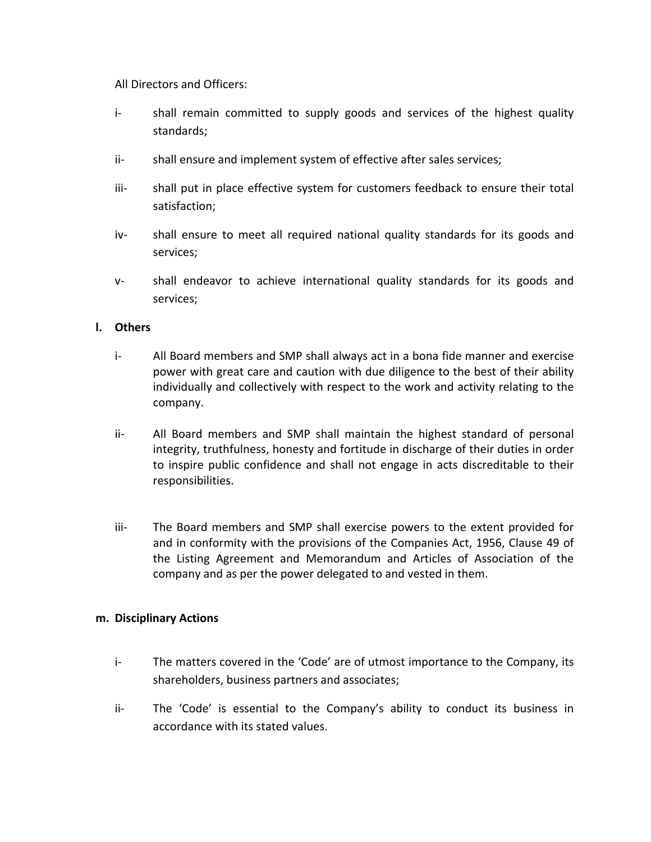All Directors and Officers:

- i-<br>shall remain committed to supply goods and services of the highest quality standards;
- ii- shall ensure and implement system of effective after sales services;
- iii-<br>
shall put in place effective system for customers feedback to ensure their total satisfaction;
- iv‐ shall ensure to meet all required national quality standards for its goods and services;
- v-<br>shall endeavor to achieve international quality standards for its goods and services;

#### **l. Others**

- i‐ All Board members and SMP shall always act in a bona fide manner and exercise power with great care and caution with due diligence to the best of their ability individually and collectively with respect to the work and activity relating to the company.
- ii‐ All Board members and SMP shall maintain the highest standard of personal integrity, truthfulness, honesty and fortitude in discharge of their duties in order to inspire public confidence and shall not engage in acts discreditable to their responsibilities.
- iii‐ The Board members and SMP shall exercise powers to the extent provided for and in conformity with the provisions of the Companies Act, 1956, Clause 49 of the Listing Agreement and Memorandum and Articles of Association of the company and as per the power delegated to and vested in them.

#### **m. Disciplinary Actions**

- i‐ The matters covered in the 'Code' are of utmost importance to the Company, its shareholders, business partners and associates;
- ii- The 'Code' is essential to the Company's ability to conduct its business in accordance with its stated values.